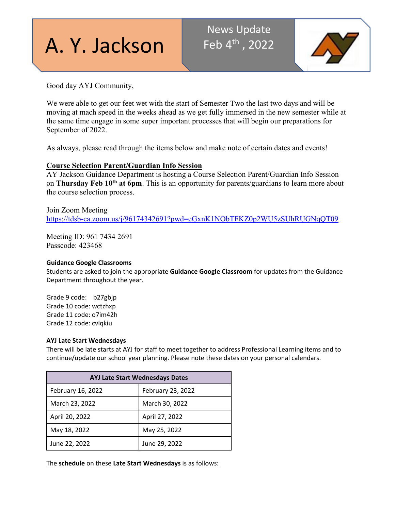# A. Y. Jackson

## News Update Feb  $4^{\text{th}}$ , 2022



Good day AYJ Community,

We were able to get our feet wet with the start of Semester Two the last two days and will be moving at mach speed in the weeks ahead as we get fully immersed in the new semester while at the same time engage in some super important processes that will begin our preparations for September of 2022.

As always, please read through the items below and make note of certain dates and events!

### **Course Selection Parent/Guardian Info Session**

AY Jackson Guidance Department is hosting a Course Selection Parent/Guardian Info Session on **Thursday Feb 10th at 6pm**. This is an opportunity for parents/guardians to learn more about the course selection process.

Join Zoom Meeting <https://tdsb-ca.zoom.us/j/96174342691?pwd=eGxnK1NObTFKZ0p2WU5zSUhRUGNqQT09>

Meeting ID: 961 7434 2691 Passcode: 423468

#### **Guidance Google Classrooms**

Students are asked to join the appropriate **Guidance Google Classroom** for updates from the Guidance Department throughout the year.

Grade 9 code: b27gbjp Grade 10 code: wctzhxp Grade 11 code: o7im42h Grade 12 code: cvlqkiu

#### **AYJ Late Start Wednesdays**

There will be late starts at AYJ for staff to meet together to address Professional Learning items and to continue/update our school year planning. Please note these dates on your personal calendars.

| <b>AYJ Late Start Wednesdays Dates</b> |                   |  |
|----------------------------------------|-------------------|--|
| February 16, 2022                      | February 23, 2022 |  |
| March 23, 2022                         | March 30, 2022    |  |
| April 20, 2022                         | April 27, 2022    |  |
| May 18, 2022                           | May 25, 2022      |  |
| June 22, 2022                          | June 29, 2022     |  |

The **schedule** on these **Late Start Wednesdays** is as follows: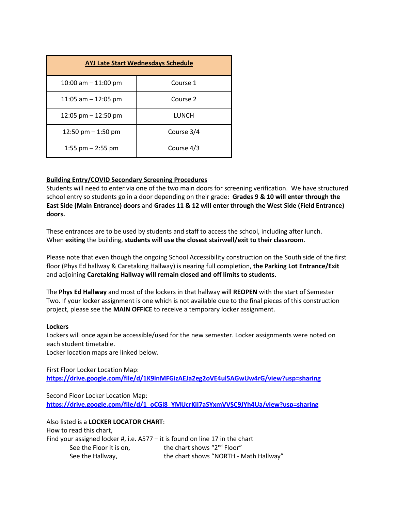| <b>AYJ Late Start Wednesdays Schedule</b> |            |  |  |  |
|-------------------------------------------|------------|--|--|--|
| 10:00 am $-$ 11:00 pm                     | Course 1   |  |  |  |
| 11:05 am $-$ 12:05 pm                     | Course 2   |  |  |  |
| 12:05 pm $-$ 12:50 pm                     | LUNCH      |  |  |  |
| 12:50 pm $-$ 1:50 pm                      | Course 3/4 |  |  |  |
| 1:55 pm $-$ 2:55 pm                       | Course 4/3 |  |  |  |

#### **Building Entry/COVID Secondary Screening Procedures**

Students will need to enter via one of the two main doors for screening verification. We have structured school entry so students go in a door depending on their grade: **Grades 9 & 10 will enter through the East Side (Main Entrance) doors** and **Grades 11 & 12 will enter through the West Side (Field Entrance) doors.**

These entrances are to be used by students and staff to access the school, including after lunch. When **exiting** the building, **students will use the closest stairwell/exit to their classroom**.

Please note that even though the ongoing School Accessibility construction on the South side of the first floor (Phys Ed hallway & Caretaking Hallway) is nearing full completion, **the Parking Lot Entrance/Exit** and adjoining **Caretaking Hallway will remain closed and off limits to students.**

The **Phys Ed Hallway** and most of the lockers in that hallway will **REOPEN** with the start of Semester Two. If your locker assignment is one which is not available due to the final pieces of this construction project, please see the **MAIN OFFICE** to receive a temporary locker assignment.

#### **Lockers**

Lockers will once again be accessible/used for the new semester. Locker assignments were noted on each student timetable.

Locker location maps are linked below.

First Floor Locker Location Map: **<https://drive.google.com/file/d/1K9lnMFGizAEJa2eg2oVE4ul5AGwUw4rG/view?usp=sharing>**

Second Floor Locker Location Map: **[https://drive.google.com/file/d/1\\_oCGl8\\_YMUcrKjI7aSYxmVVSC9JYh4Ua/view?usp=sharing](https://drive.google.com/file/d/1_oCGl8_YMUcrKjI7aSYxmVVSC9JYh4Ua/view?usp=sharing)**

Also listed is a **LOCKER LOCATOR CHART**: How to read this chart, Find your assigned locker #, i.e. A577 – it is found on line 17 in the chart See the Floor it is on, the chart shows "2<sup>nd</sup> Floor" See the Hallway, The chart shows "NORTH - Math Hallway"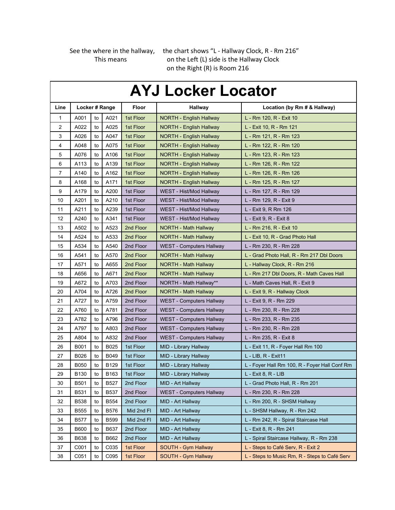See the where in the hallway, the chart shows "L - Hallway Clock, R - Rm 216" This means on the Left (L) side is the Hallway Clock on the Right (R) is Room 216

| <b>AYJ Locker Locator</b> |                |    |             |              |                                 |                                               |
|---------------------------|----------------|----|-------------|--------------|---------------------------------|-----------------------------------------------|
| Line                      | Locker # Range |    |             | <b>Floor</b> | <b>Hallway</b>                  | Location (by Rm # & Hallway)                  |
| 1                         | A001           | to | A021        | 1st Floor    | NORTH - English Hallway         | L - Rm 120, R - Exit 10                       |
| 2                         | A022           | to | A025        | 1st Floor    | NORTH - English Hallway         | L - Exit 10, R - Rm 121                       |
| 3                         | A026           | to | A047        | 1st Floor    | NORTH - English Hallway         | L - Rm 121, R - Rm 123                        |
| 4                         | A048           | to | A075        | 1st Floor    | NORTH - English Hallway         | L - Rm 122, R - Rm 120                        |
| 5                         | A076           | to | A106        | 1st Floor    | <b>NORTH - English Hallway</b>  | L - Rm 123, R - Rm 123                        |
| 6                         | A113           | to | A139        | 1st Floor    | NORTH - English Hallway         | L - Rm 126, R - Rm 122                        |
| 7                         | A140           | to | A162        | 1st Floor    | NORTH - English Hallway         | L - Rm 126, R - Rm 126                        |
| 8                         | A168           | to | A171        | 1st Floor    | NORTH - English Hallway         | L - Rm 125, R - Rm 127                        |
| 9                         | A179           | to | A200        | 1st Floor    | WEST - Hist/Mod Hallway         | L - Rm 127, R - Rm 129                        |
| 10                        | A201           | to | A210        | 1st Floor    | WEST - Hist/Mod Hallway         | L - Rm 129, R - Exit 9                        |
| 11                        | A211           | to | A239        | 1st Floor    | WEST - Hist/Mod Hallway         | L - Exit 9, R Rm 126                          |
| 12                        | A240           | to | A341        | 1st Floor    | WEST - Hist/Mod Hallway         | L - Exit 9, R - Exit 8                        |
| 13                        | A502           | to | A523        | 2nd Floor    | NORTH - Math Hallway            | L - Rm 216, R - Exit 10                       |
| 14                        | A524           | to | A533        | 2nd Floor    | NORTH - Math Hallway            | L - Exit 10, R - Grad Photo Hall              |
| 15                        | A534           | to | A540        | 2nd Floor    | <b>WEST - Computers Hallway</b> | L - Rm 230, R - Rm 228                        |
| 16                        | A541           | to | A570        | 2nd Floor    | <b>NORTH - Math Hallway</b>     | L - Grad Photo Hall, R - Rm 217 Dbl Doors     |
| 17                        | A571           | to | A655        | 2nd Floor    | <b>NORTH - Math Hallway</b>     | L - Hallway Clock, R - Rm 216                 |
| 18                        | A656           | to | A671        | 2nd Floor    | NORTH - Math Hallway            | L - Rm 217 Dbl Doors, R - Math Caves Hall     |
| 19                        | A672           | to | A703        | 2nd Floor    | NORTH - Math Hallway**          | L - Math Caves Hall, R - Exit 9               |
| 20                        | A704           | to | A726        | 2nd Floor    | <b>NORTH - Math Hallway</b>     | L - Exit 9, R - Hallway Clock                 |
| 21                        | A727           | to | A759        | 2nd Floor    | <b>WEST - Computers Hallway</b> | L - Exit 9, R - Rm 229                        |
| 22                        | A760           | to | A781        | 2nd Floor    | <b>WEST - Computers Hallway</b> | L - Rm 230, R - Rm 228                        |
| 23                        | A782           | to | A796        | 2nd Floor    | <b>WEST - Computers Hallway</b> | L - Rm 233, R - Rm 235                        |
| 24                        | A797           | to | A803        | 2nd Floor    | WEST - Computers Hallway        | L - Rm 230, R - Rm 228                        |
| 25                        | A804           | to | A832        | 2nd Floor    | <b>WEST - Computers Hallway</b> | L - Rm 235, R - Exit 8                        |
| 26                        | B001           | to | B025        | 1st Floor    | MID - Library Hallway           | L - Exit 11, R - Foyer Hall Rm 100            |
| 27                        | B026           | to | B049        | 1st Floor    | MID - Library Hallway           | L - LIB, R - Exit11                           |
| 28                        | <b>B050</b>    | to | B129        | 1st Floor    | MID - Library Hallway           | L - Foyer Hall Rm 100, R - Foyer Hall Conf Rm |
| 29                        | B130           | to | B163        | 1st Floor    | MID - Library Hallway           | L - Exit 8, R - LIB                           |
| 30                        | B501           | to | B527        | 2nd Floor    | MID - Art Hallway               | L - Grad Photo Hall, R - Rm 201               |
| 31                        | B531           | to | <b>B537</b> | 2nd Floor    | <b>WEST - Computers Hallway</b> | L - Rm 230, R - Rm 228                        |
| 32                        | <b>B538</b>    | to | <b>B554</b> | 2nd Floor    | MID - Art Hallway               | L - Rm 200, R - SHSM Hallway                  |
| 33                        | <b>B555</b>    | to | B576        | Mid 2nd FI   | MID - Art Hallway               | L - SHSM Hallway, R - Rm 242                  |
| 34                        | <b>B577</b>    | to | <b>B599</b> | Mid 2nd FI   | MID - Art Hallway               | L - Rm 242, R - Spiral Staircase Hall         |
| 35                        | <b>B600</b>    | to | B637        | 2nd Floor    | MID - Art Hallway               | L - Exit 8, R - Rm 241                        |
| 36                        | B638           | to | B662        | 2nd Floor    | MID - Art Hallway               | L - Spiral Staircase Hallway, R - Rm 238      |
| 37                        | C001           | to | C035        | 1st Floor    | SOUTH - Gym Hallway             | L - Steps to Café Serv, R - Exit 2            |
| 38                        | C051           | to | C095        | 1st Floor    | SOUTH - Gym Hallway             | L - Steps to Music Rm, R - Steps to Café Serv |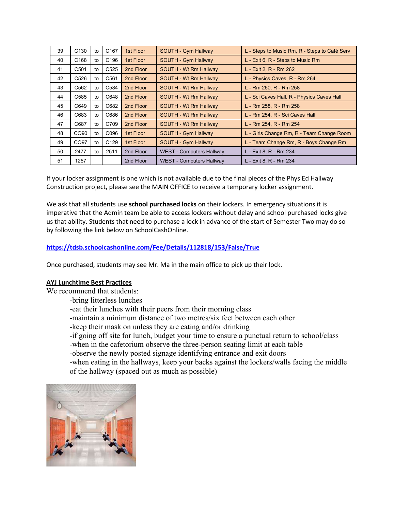| 39 | C <sub>130</sub> | to | C <sub>167</sub> | 1st Floor | SOUTH - Gym Hallway             | L - Steps to Music Rm, R - Steps to Café Serv |
|----|------------------|----|------------------|-----------|---------------------------------|-----------------------------------------------|
| 40 | C <sub>168</sub> | to | C <sub>196</sub> | 1st Floor | SOUTH - Gym Hallway             | L - Exit 6, R - Steps to Music Rm             |
| 41 | C <sub>501</sub> | to | C <sub>525</sub> | 2nd Floor | SOUTH - Wt Rm Hallway           | L - Exit 2, R - Rm 262                        |
| 42 | C <sub>526</sub> | to | C <sub>561</sub> | 2nd Floor | SOUTH - Wt Rm Hallway           | L - Physics Caves, R - Rm 264                 |
| 43 | C <sub>562</sub> | to | C584             | 2nd Floor | SOUTH - Wt Rm Hallway           | L - Rm 260, R - Rm 258                        |
| 44 | C585             | to | C648             | 2nd Floor | SOUTH - Wt Rm Hallway           | L - Sci Caves Hall, R - Physics Caves Hall    |
| 45 | C649             | to | C682             | 2nd Floor | SOUTH - Wt Rm Hallway           | L - Rm 258, R - Rm 258                        |
| 46 | C683             | to | C686             | 2nd Floor | SOUTH - Wt Rm Hallway           | L - Rm 254, R - Sci Caves Hall                |
| 47 | C687             | to | C709             | 2nd Floor | SOUTH - Wt Rm Hallway           | L - Rm 254, R - Rm 254                        |
| 48 | CO90             | to | C096             | 1st Floor | SOUTH - Gym Hallway             | L - Girls Change Rm, R - Team Change Room     |
| 49 | CO97             | to | C <sub>129</sub> | 1st Floor | SOUTH - Gym Hallway             | L - Team Change Rm, R - Boys Change Rm        |
| 50 | 2477             | to | 2511             | 2nd Floor | <b>WEST - Computers Hallway</b> | L - Exit 8, R - Rm 234                        |
| 51 | 1257             |    |                  | 2nd Floor | <b>WEST - Computers Hallway</b> | L - Exit 8, R - Rm 234                        |

If your locker assignment is one which is not available due to the final pieces of the Phys Ed Hallway Construction project, please see the MAIN OFFICE to receive a temporary locker assignment.

We ask that all students use **school purchased locks** on their lockers. In emergency situations it is imperative that the Admin team be able to access lockers without delay and school purchased locks give us that ability. Students that need to purchase a lock in advance of the start of Semester Two may do so by following the link below on SchoolCashOnline.

#### **[https://tdsb.schoolcashonline.com/Fee/Details/112818/153/False/True](http://track.spe.schoolmessenger.com/f/a/3_xaJ9vJGOmm_4d6cVDEog%7E%7E/AAAAAQA%7E/RgRj0vj2P0RDaHR0cHM6Ly90ZHNiLnNjaG9vbGNhc2hvbmxpbmUuY29tL0ZlZS9EZXRhaWxzLzExMjgxOC8xNTMvRmFsc2UvVHJ1ZVcHc2Nob29sbUIKYel2xfFhVbYhX1IZcGV0ZXIucGFwdXRzaXNAdGRzYi5vbi5jYVgEAAAAAg%7E%7E)**

Once purchased, students may see Mr. Ma in the main office to pick up their lock.

#### **AYJ Lunchtime Best Practices**

We recommend that students:

-bring litterless lunches

- -eat their lunches with their peers from their morning class
- -maintain a minimum distance of two metres/six feet between each other
- -keep their mask on unless they are eating and/or drinking
- -if going off site for lunch, budget your time to ensure a punctual return to school/class
- -when in the cafetorium observe the three-person seating limit at each table
- -observe the newly posted signage identifying entrance and exit doors
- -when eating in the hallways, keep your backs against the lockers/walls facing the middle of the hallway (spaced out as much as possible)

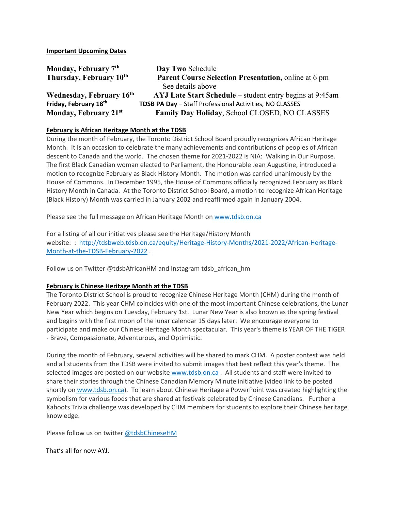**Important Upcoming Dates**

| Monday, February 7th     | Day Two Schedule                                            |
|--------------------------|-------------------------------------------------------------|
| Thursday, February 10th  | <b>Parent Course Selection Presentation, online at 6 pm</b> |
|                          | See details above                                           |
| Wednesday, February 16th | AYJ Late Start Schedule – student entry begins at 9:45am    |
| Friday, February 18th    | TDSB PA Day - Staff Professional Activities, NO CLASSES     |
| Monday, February 21st    | Family Day Holiday, School CLOSED, NO CLASSES               |

#### **February is African Heritage Month at the TDSB**

During the month of February, the Toronto District School Board proudly recognizes African Heritage Month. It is an occasion to celebrate the many achievements and contributions of peoples of African descent to Canada and the world. The chosen theme for 2021-2022 is NIA: Walking in Our Purpose. The first Black Canadian woman elected to Parliament, the Honourable Jean Augustine, introduced a motion to recognize February as Black History Month. The motion was carried unanimously by the House of Commons. In December 1995, the House of Commons officially recognized February as Black History Month in Canada. At the Toronto District School Board, a motion to recognize African Heritage (Black History) Month was carried in January 2002 and reaffirmed again in January 2004.

Please see the full message on African Heritage Month on [www.tdsb.on.ca](http://www.tdsb.on.ca/) 

For a listing of all our initiatives please see the Heritage/History Month website: : [http://tdsbweb.tdsb.on.ca/equity/Heritage-History-Months/2021-2022/African-Heritage-](http://tdsbweb.tdsb.on.ca/equity/Heritage-History-Months/2021-2022/African-Heritage-Month-at-the-TDSB-February-2022)[Month-at-the-TDSB-February-2022](http://tdsbweb.tdsb.on.ca/equity/Heritage-History-Months/2021-2022/African-Heritage-Month-at-the-TDSB-February-2022) .

Follow us on Twitter @tdsbAfricanHM and Instagram tdsb\_african\_hm

#### **February is Chinese Heritage Month at the TDSB**

The Toronto District School is proud to recognize Chinese Heritage Month (CHM) during the month of February 2022. This year CHM coincides with one of the most important Chinese celebrations, the Lunar New Year which begins on Tuesday, February 1st. Lunar New Year is also known as the spring festival and begins with the first moon of the lunar calendar 15 days later. We encourage everyone to participate and make our Chinese Heritage Month spectacular. This year's theme is YEAR OF THE TIGER - Brave, Compassionate, Adventurous, and Optimistic.

During the month of February, several activities will be shared to mark CHM. A poster contest was held and all students from the TDSB were invited to submit images that best reflect this year's theme. The selected images are posted on our website [www.tdsb.on.ca](http://www.tdsb.on.ca/) . All students and staff were invited to share their stories through the Chinese Canadian Memory Minute initiative (video link to be posted shortly on [www.tdsb.on.ca\)](http://www.tdsb.on.ca/). To learn about Chinese Heritage a PowerPoint was created highlighting the symbolism for various foods that are shared at festivals celebrated by Chinese Canadians. Further a Kahoots Trivia challenge was developed by CHM members for students to explore their Chinese heritage knowledge.

Please follow us on twitter [@tdsbChineseHM](https://twitter.com/tdsbChineseHM)

That's all for now AYJ.